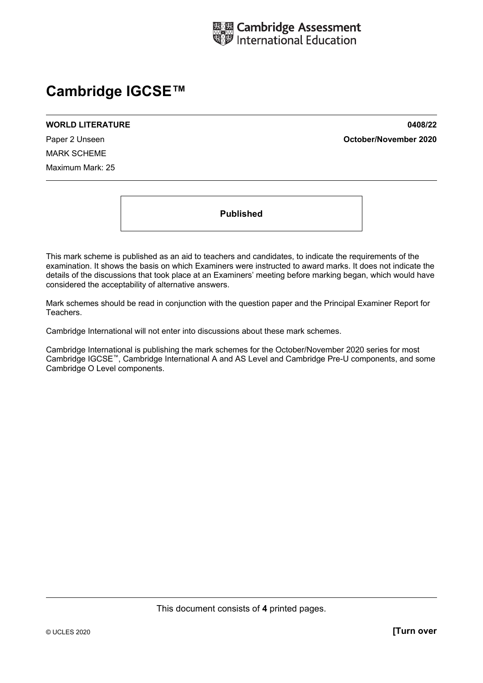

## **Cambridge IGCSE™**

## **WORLD LITERATURE 0408/22**

Paper 2 Unseen **October/November 2020**

MARK SCHEME Maximum Mark: 25

**Published** 

This mark scheme is published as an aid to teachers and candidates, to indicate the requirements of the examination. It shows the basis on which Examiners were instructed to award marks. It does not indicate the details of the discussions that took place at an Examiners' meeting before marking began, which would have considered the acceptability of alternative answers.

Mark schemes should be read in conjunction with the question paper and the Principal Examiner Report for Teachers.

Cambridge International will not enter into discussions about these mark schemes.

Cambridge International is publishing the mark schemes for the October/November 2020 series for most Cambridge IGCSE™, Cambridge International A and AS Level and Cambridge Pre-U components, and some Cambridge O Level components.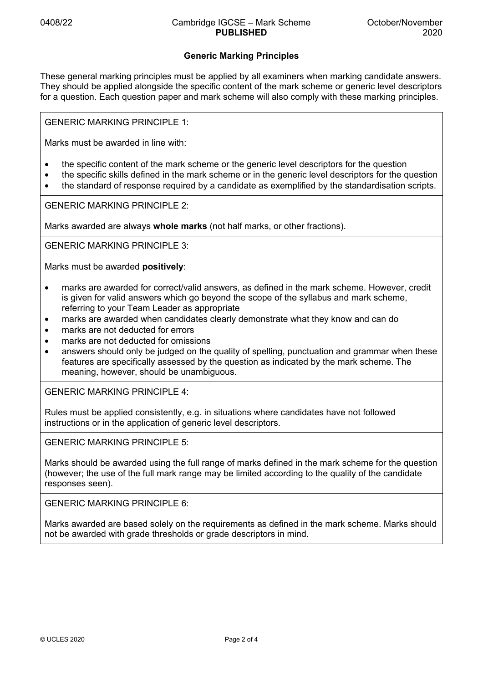## **Generic Marking Principles**

These general marking principles must be applied by all examiners when marking candidate answers. They should be applied alongside the specific content of the mark scheme or generic level descriptors for a question. Each question paper and mark scheme will also comply with these marking principles.

GENERIC MARKING PRINCIPLE 1:

Marks must be awarded in line with:

- the specific content of the mark scheme or the generic level descriptors for the question
- the specific skills defined in the mark scheme or in the generic level descriptors for the question
- the standard of response required by a candidate as exemplified by the standardisation scripts.

GENERIC MARKING PRINCIPLE 2:

Marks awarded are always **whole marks** (not half marks, or other fractions).

GENERIC MARKING PRINCIPLE 3:

Marks must be awarded **positively**:

- marks are awarded for correct/valid answers, as defined in the mark scheme. However, credit is given for valid answers which go beyond the scope of the syllabus and mark scheme, referring to your Team Leader as appropriate
- marks are awarded when candidates clearly demonstrate what they know and can do
- marks are not deducted for errors
- marks are not deducted for omissions
- answers should only be judged on the quality of spelling, punctuation and grammar when these features are specifically assessed by the question as indicated by the mark scheme. The meaning, however, should be unambiguous.

GENERIC MARKING PRINCIPLE 4:

Rules must be applied consistently, e.g. in situations where candidates have not followed instructions or in the application of generic level descriptors.

GENERIC MARKING PRINCIPLE 5:

Marks should be awarded using the full range of marks defined in the mark scheme for the question (however; the use of the full mark range may be limited according to the quality of the candidate responses seen).

GENERIC MARKING PRINCIPLE 6:

Marks awarded are based solely on the requirements as defined in the mark scheme. Marks should not be awarded with grade thresholds or grade descriptors in mind.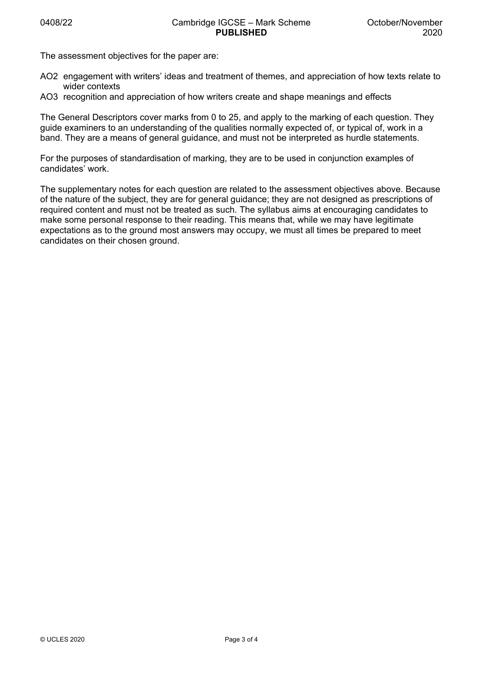The assessment objectives for the paper are:

- AO2 engagement with writers' ideas and treatment of themes, and appreciation of how texts relate to wider contexts
- AO3 recognition and appreciation of how writers create and shape meanings and effects

The General Descriptors cover marks from 0 to 25, and apply to the marking of each question. They guide examiners to an understanding of the qualities normally expected of, or typical of, work in a band. They are a means of general guidance, and must not be interpreted as hurdle statements.

For the purposes of standardisation of marking, they are to be used in conjunction examples of candidates' work.

The supplementary notes for each question are related to the assessment objectives above. Because of the nature of the subject, they are for general guidance; they are not designed as prescriptions of required content and must not be treated as such. The syllabus aims at encouraging candidates to make some personal response to their reading. This means that, while we may have legitimate expectations as to the ground most answers may occupy, we must all times be prepared to meet candidates on their chosen ground.